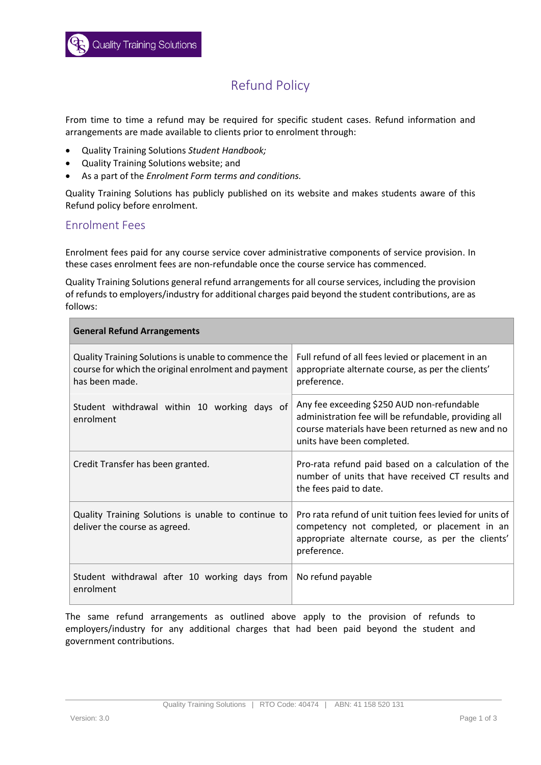# Refund Policy

From time to time a refund may be required for specific student cases. Refund information and arrangements are made available to clients prior to enrolment through:

- Quality Training Solutions *Student Handbook;*
- Quality Training Solutions website; and
- As a part of the *Enrolment Form terms and conditions.*

Quality Training Solutions has publicly published on its website and makes students aware of this Refund policy before enrolment.

#### Enrolment Fees

Enrolment fees paid for any course service cover administrative components of service provision. In these cases enrolment fees are non-refundable once the course service has commenced.

Quality Training Solutions general refund arrangements for all course services, including the provision of refunds to employers/industry for additional charges paid beyond the student contributions, are as follows:

| <b>General Refund Arrangements</b>                                                                                            |                                                                                                                                                                                       |
|-------------------------------------------------------------------------------------------------------------------------------|---------------------------------------------------------------------------------------------------------------------------------------------------------------------------------------|
| Quality Training Solutions is unable to commence the<br>course for which the original enrolment and payment<br>has been made. | Full refund of all fees levied or placement in an<br>appropriate alternate course, as per the clients'<br>preference.                                                                 |
| Student withdrawal within 10 working days of<br>enrolment                                                                     | Any fee exceeding \$250 AUD non-refundable<br>administration fee will be refundable, providing all<br>course materials have been returned as new and no<br>units have been completed. |
| Credit Transfer has been granted.                                                                                             | Pro-rata refund paid based on a calculation of the<br>number of units that have received CT results and<br>the fees paid to date.                                                     |
| Quality Training Solutions is unable to continue to<br>deliver the course as agreed.                                          | Pro rata refund of unit tuition fees levied for units of<br>competency not completed, or placement in an<br>appropriate alternate course, as per the clients'<br>preference.          |
| Student withdrawal after 10 working days from<br>enrolment                                                                    | No refund payable                                                                                                                                                                     |

The same refund arrangements as outlined above apply to the provision of refunds to employers/industry for any additional charges that had been paid beyond the student and government contributions.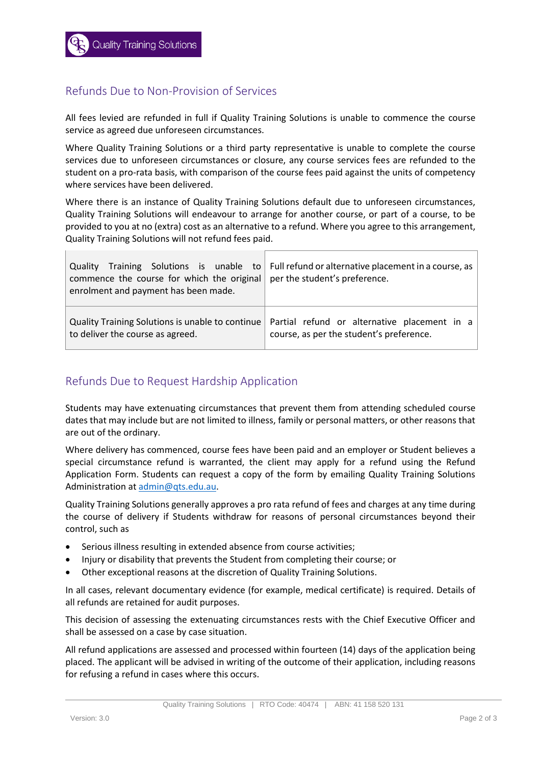### Refunds Due to Non-Provision of Services

All fees levied are refunded in full if Quality Training Solutions is unable to commence the course service as agreed due unforeseen circumstances.

Where Quality Training Solutions or a third party representative is unable to complete the course services due to unforeseen circumstances or closure, any course services fees are refunded to the student on a pro-rata basis, with comparison of the course fees paid against the units of competency where services have been delivered.

Where there is an instance of Quality Training Solutions default due to unforeseen circumstances, Quality Training Solutions will endeavour to arrange for another course, or part of a course, to be provided to you at no (extra) cost as an alternative to a refund. Where you agree to this arrangement, Quality Training Solutions will not refund fees paid.

| commence the course for which the original per the student's preference.<br>enrolment and payment has been made. | Quality Training Solutions is unable to Full refund or alternative placement in a course, as |
|------------------------------------------------------------------------------------------------------------------|----------------------------------------------------------------------------------------------|
| Quality Training Solutions is unable to continue                                                                 | Partial refund or alternative placement in a                                                 |
| to deliver the course as agreed.                                                                                 | course, as per the student's preference.                                                     |

#### Refunds Due to Request Hardship Application

Students may have extenuating circumstances that prevent them from attending scheduled course dates that may include but are not limited to illness, family or personal matters, or other reasons that are out of the ordinary.

Where delivery has commenced, course fees have been paid and an employer or Student believes a special circumstance refund is warranted, the client may apply for a refund using the Refund Application Form. Students can request a copy of the form by emailing Quality Training Solutions Administration a[t admin@qts.edu.au.](mailto:admin@qts.edu.au)

Quality Training Solutions generally approves a pro rata refund of fees and charges at any time during the course of delivery if Students withdraw for reasons of personal circumstances beyond their control, such as

- Serious illness resulting in extended absence from course activities;
- Injury or disability that prevents the Student from completing their course; or
- Other exceptional reasons at the discretion of Quality Training Solutions.

In all cases, relevant documentary evidence (for example, medical certificate) is required. Details of all refunds are retained for audit purposes.

This decision of assessing the extenuating circumstances rests with the Chief Executive Officer and shall be assessed on a case by case situation.

All refund applications are assessed and processed within fourteen (14) days of the application being placed. The applicant will be advised in writing of the outcome of their application, including reasons for refusing a refund in cases where this occurs.